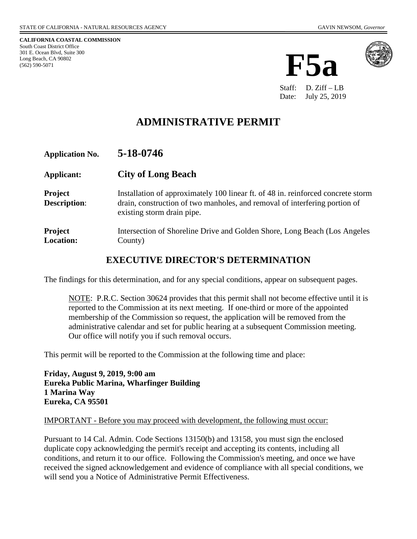**CALIFORNIA COASTAL COMMISSION** South Coast District Office 301 E. Ocean Blvd, Suite 300 Long Beach, CA 90802 (562) 590-5071





Staff: D. Ziff – LB Date: July 25, 2019

# **ADMINISTRATIVE PERMIT**

| <b>Application No.</b>                | 5-18-0746                                                                                                                                                                                    |
|---------------------------------------|----------------------------------------------------------------------------------------------------------------------------------------------------------------------------------------------|
| Applicant:                            | <b>City of Long Beach</b>                                                                                                                                                                    |
| <b>Project</b><br><b>Description:</b> | Installation of approximately 100 linear ft. of 48 in. reinforced concrete storm<br>drain, construction of two manholes, and removal of interfering portion of<br>existing storm drain pipe. |
| <b>Project</b><br><b>Location:</b>    | Intersection of Shoreline Drive and Golden Shore, Long Beach (Los Angeles<br>County)                                                                                                         |

### **EXECUTIVE DIRECTOR'S DETERMINATION**

The findings for this determination, and for any special conditions, appear on subsequent pages.

NOTE: P.R.C. Section 30624 provides that this permit shall not become effective until it is reported to the Commission at its next meeting. If one-third or more of the appointed membership of the Commission so request, the application will be removed from the administrative calendar and set for public hearing at a subsequent Commission meeting. Our office will notify you if such removal occurs.

This permit will be reported to the Commission at the following time and place:

**Friday, August 9, 2019, 9:00 am Eureka Public Marina, Wharfinger Building 1 Marina Way Eureka, CA 95501**

#### IMPORTANT - Before you may proceed with development, the following must occur:

Pursuant to 14 Cal. Admin. Code Sections 13150(b) and 13158, you must sign the enclosed duplicate copy acknowledging the permit's receipt and accepting its contents, including all conditions, and return it to our office. Following the Commission's meeting, and once we have received the signed acknowledgement and evidence of compliance with all special conditions, we will send you a Notice of Administrative Permit Effectiveness.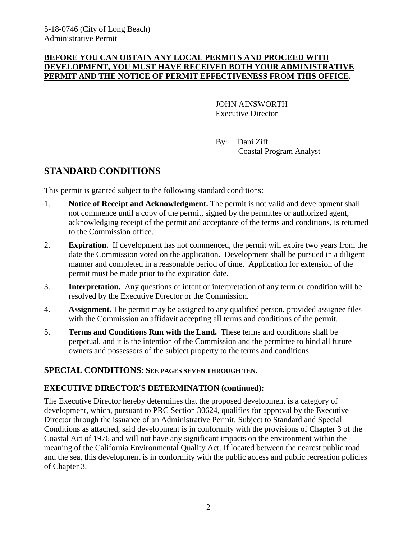#### **BEFORE YOU CAN OBTAIN ANY LOCAL PERMITS AND PROCEED WITH DEVELOPMENT, YOU MUST HAVE RECEIVED BOTH YOUR ADMINISTRATIVE PERMIT AND THE NOTICE OF PERMIT EFFECTIVENESS FROM THIS OFFICE.**

JOHN AINSWORTH Executive Director

By: Dani Ziff Coastal Program Analyst

# **STANDARD CONDITIONS**

This permit is granted subject to the following standard conditions:

- 1. **Notice of Receipt and Acknowledgment.** The permit is not valid and development shall not commence until a copy of the permit, signed by the permittee or authorized agent, acknowledging receipt of the permit and acceptance of the terms and conditions, is returned to the Commission office.
- 2. **Expiration.** If development has not commenced, the permit will expire two years from the date the Commission voted on the application. Development shall be pursued in a diligent manner and completed in a reasonable period of time. Application for extension of the permit must be made prior to the expiration date.
- 3. **Interpretation.** Any questions of intent or interpretation of any term or condition will be resolved by the Executive Director or the Commission.
- 4. **Assignment.** The permit may be assigned to any qualified person, provided assignee files with the Commission an affidavit accepting all terms and conditions of the permit.
- 5. **Terms and Conditions Run with the Land.** These terms and conditions shall be perpetual, and it is the intention of the Commission and the permittee to bind all future owners and possessors of the subject property to the terms and conditions.

### **SPECIAL CONDITIONS: SEE PAGES SEVEN THROUGH TEN.**

#### **EXECUTIVE DIRECTOR'S DETERMINATION (continued):**

The Executive Director hereby determines that the proposed development is a category of development, which, pursuant to PRC Section 30624, qualifies for approval by the Executive Director through the issuance of an Administrative Permit. Subject to Standard and Special Conditions as attached, said development is in conformity with the provisions of Chapter 3 of the Coastal Act of 1976 and will not have any significant impacts on the environment within the meaning of the California Environmental Quality Act. If located between the nearest public road and the sea, this development is in conformity with the public access and public recreation policies of Chapter 3.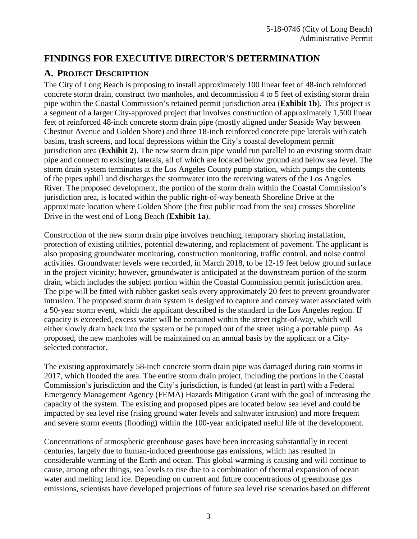# **FINDINGS FOR EXECUTIVE DIRECTOR'S DETERMINATION**

### **A. PROJECT DESCRIPTION**

The City of Long Beach is proposing to install approximately 100 linear feet of 48-inch reinforced concrete storm drain, construct two manholes, and decommission 4 to 5 feet of existing storm drain pipe within the Coastal Commission's retained permit jurisdiction area (**[Exhibit 1b](https://documents.coastal.ca.gov/reports/2019/8/f5a/f5a-8-2019-exhibits.pdf)**). This project is a segment of a larger City-approved project that involves construction of approximately 1,500 linear feet of reinforced 48-inch concrete storm drain pipe (mostly aligned under Seaside Way between Chestnut Avenue and Golden Shore) and three 18-inch reinforced concrete pipe laterals with catch basins, trash screens, and local depressions within the City's coastal development permit jurisdiction area (**[Exhibit 2](https://documents.coastal.ca.gov/reports/2019/8/f5a/f5a-8-2019-exhibits.pdf)**). The new storm drain pipe would run parallel to an existing storm drain pipe and connect to existing laterals, all of which are located below ground and below sea level. The storm drain system terminates at the Los Angeles County pump station, which pumps the contents of the pipes uphill and discharges the stormwater into the receiving waters of the Los Angeles River. The proposed development, the portion of the storm drain within the Coastal Commission's jurisdiction area, is located within the public right-of-way beneath Shoreline Drive at the approximate location where Golden Shore (the first public road from the sea) crosses Shoreline Drive in the west end of Long Beach (**[Exhibit 1a](https://documents.coastal.ca.gov/reports/2019/8/f5a/f5a-8-2019-exhibits.pdfhttps:/documents.coastal.ca.gov/reports/2019/7/W7b/W7b-7-2019-exhibits.pdf)**).

Construction of the new storm drain pipe involves trenching, temporary shoring installation, protection of existing utilities, potential dewatering, and replacement of pavement. The applicant is also proposing groundwater monitoring, construction monitoring, traffic control, and noise control activities. Groundwater levels were recorded, in March 2018, to be 12-19 feet below ground surface in the project vicinity; however, groundwater is anticipated at the downstream portion of the storm drain, which includes the subject portion within the Coastal Commission permit jurisdiction area. The pipe will be fitted with rubber gasket seals every approximately 20 feet to prevent groundwater intrusion. The proposed storm drain system is designed to capture and convey water associated with a 50-year storm event, which the applicant described is the standard in the Los Angeles region. If capacity is exceeded, excess water will be contained within the street right-of-way, which will either slowly drain back into the system or be pumped out of the street using a portable pump. As proposed, the new manholes will be maintained on an annual basis by the applicant or a Cityselected contractor.

The existing approximately 58-inch concrete storm drain pipe was damaged during rain storms in 2017, which flooded the area. The entire storm drain project, including the portions in the Coastal Commission's jurisdiction and the City's jurisdiction, is funded (at least in part) with a Federal Emergency Management Agency (FEMA) Hazards Mitigation Grant with the goal of increasing the capacity of the system. The existing and proposed pipes are located below sea level and could be impacted by sea level rise (rising ground water levels and saltwater intrusion) and more frequent and severe storm events (flooding) within the 100-year anticipated useful life of the development.

Concentrations of atmospheric greenhouse gases have been increasing substantially in recent centuries, largely due to human-induced greenhouse gas emissions, which has resulted in considerable warming of the Earth and ocean. This global warming is causing and will continue to cause, among other things, sea levels to rise due to a combination of thermal expansion of ocean water and melting land ice. Depending on current and future concentrations of greenhouse gas emissions, scientists have developed projections of future sea level rise scenarios based on different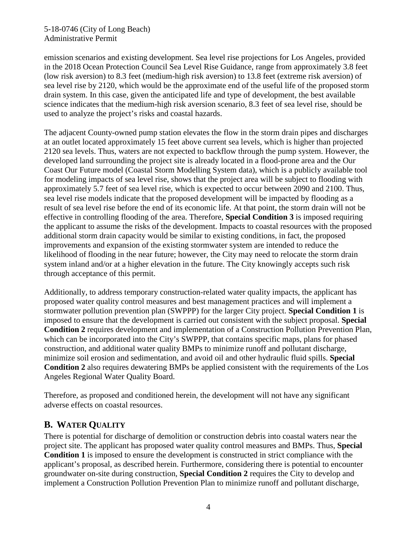### 5-18-0746 (City of Long Beach) Administrative Permit

emission scenarios and existing development. Sea level rise projections for Los Angeles, provided in the 2018 Ocean Protection Council Sea Level Rise Guidance, range from approximately 3.8 feet (low risk aversion) to 8.3 feet (medium-high risk aversion) to 13.8 feet (extreme risk aversion) of sea level rise by 2120, which would be the approximate end of the useful life of the proposed storm drain system. In this case, given the anticipated life and type of development, the best available science indicates that the medium-high risk aversion scenario, 8.3 feet of sea level rise, should be used to analyze the project's risks and coastal hazards.

The adjacent County-owned pump station elevates the flow in the storm drain pipes and discharges at an outlet located approximately 15 feet above current sea levels, which is higher than projected 2120 sea levels. Thus, waters are not expected to backflow through the pump system. However, the developed land surrounding the project site is already located in a flood-prone area and the Our Coast Our Future model (Coastal Storm Modelling System data), which is a publicly available tool for modeling impacts of sea level rise, shows that the project area will be subject to flooding with approximately 5.7 feet of sea level rise, which is expected to occur between 2090 and 2100. Thus, sea level rise models indicate that the proposed development will be impacted by flooding as a result of sea level rise before the end of its economic life. At that point, the storm drain will not be effective in controlling flooding of the area. Therefore, **Special Condition 3** is imposed requiring the applicant to assume the risks of the development. Impacts to coastal resources with the proposed additional storm drain capacity would be similar to existing conditions, in fact, the proposed improvements and expansion of the existing stormwater system are intended to reduce the likelihood of flooding in the near future; however, the City may need to relocate the storm drain system inland and/or at a higher elevation in the future. The City knowingly accepts such risk through acceptance of this permit.

Additionally, to address temporary construction-related water quality impacts, the applicant has proposed water quality control measures and best management practices and will implement a stormwater pollution prevention plan (SWPPP) for the larger City project. **Special Condition 1** is imposed to ensure that the development is carried out consistent with the subject proposal. **Special Condition 2** requires development and implementation of a Construction Pollution Prevention Plan, which can be incorporated into the City's SWPPP, that contains specific maps, plans for phased construction, and additional water quality BMPs to minimize runoff and pollutant discharge, minimize soil erosion and sedimentation, and avoid oil and other hydraulic fluid spills. **Special Condition 2** also requires dewatering BMPs be applied consistent with the requirements of the Los Angeles Regional Water Quality Board.

Therefore, as proposed and conditioned herein, the development will not have any significant adverse effects on coastal resources.

### **B. WATER QUALITY**

There is potential for discharge of demolition or construction debris into coastal waters near the project site. The applicant has proposed water quality control measures and BMPs. Thus, **Special Condition 1** is imposed to ensure the development is constructed in strict compliance with the applicant's proposal, as described herein. Furthermore, considering there is potential to encounter groundwater on-site during construction, **Special Condition 2** requires the City to develop and implement a Construction Pollution Prevention Plan to minimize runoff and pollutant discharge,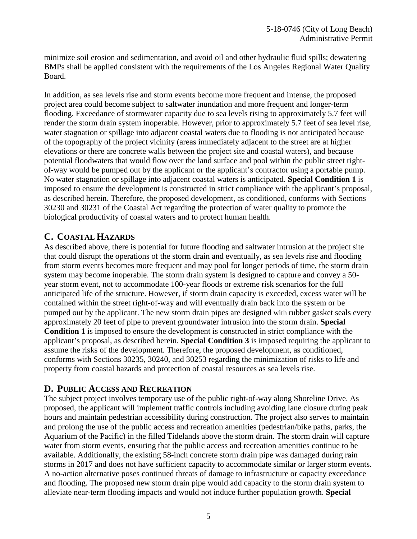minimize soil erosion and sedimentation, and avoid oil and other hydraulic fluid spills; dewatering BMPs shall be applied consistent with the requirements of the Los Angeles Regional Water Quality Board.

In addition, as sea levels rise and storm events become more frequent and intense, the proposed project area could become subject to saltwater inundation and more frequent and longer-term flooding. Exceedance of stormwater capacity due to sea levels rising to approximately 5.7 feet will render the storm drain system inoperable. However, prior to approximately 5.7 feet of sea level rise, water stagnation or spillage into adjacent coastal waters due to flooding is not anticipated because of the topography of the project vicinity (areas immediately adjacent to the street are at higher elevations or there are concrete walls between the project site and coastal waters), and because potential floodwaters that would flow over the land surface and pool within the public street rightof-way would be pumped out by the applicant or the applicant's contractor using a portable pump. No water stagnation or spillage into adjacent coastal waters is anticipated. **Special Condition 1** is imposed to ensure the development is constructed in strict compliance with the applicant's proposal, as described herein. Therefore, the proposed development, as conditioned, conforms with Sections 30230 and 30231 of the Coastal Act regarding the protection of water quality to promote the biological productivity of coastal waters and to protect human health.

### **C. COASTAL HAZARDS**

As described above, there is potential for future flooding and saltwater intrusion at the project site that could disrupt the operations of the storm drain and eventually, as sea levels rise and flooding from storm events becomes more frequent and may pool for longer periods of time, the storm drain system may become inoperable. The storm drain system is designed to capture and convey a 50 year storm event, not to accommodate 100-year floods or extreme risk scenarios for the full anticipated life of the structure. However, if storm drain capacity is exceeded, excess water will be contained within the street right-of-way and will eventually drain back into the system or be pumped out by the applicant. The new storm drain pipes are designed with rubber gasket seals every approximately 20 feet of pipe to prevent groundwater intrusion into the storm drain. **Special Condition 1** is imposed to ensure the development is constructed in strict compliance with the applicant's proposal, as described herein. **Special Condition 3** is imposed requiring the applicant to assume the risks of the development. Therefore, the proposed development, as conditioned, conforms with Sections 30235, 30240, and 30253 regarding the minimization of risks to life and property from coastal hazards and protection of coastal resources as sea levels rise.

### **D. PUBLIC ACCESS AND RECREATION**

The subject project involves temporary use of the public right-of-way along Shoreline Drive. As proposed, the applicant will implement traffic controls including avoiding lane closure during peak hours and maintain pedestrian accessibility during construction. The project also serves to maintain and prolong the use of the public access and recreation amenities (pedestrian/bike paths, parks, the Aquarium of the Pacific) in the filled Tidelands above the storm drain. The storm drain will capture water from storm events, ensuring that the public access and recreation amenities continue to be available. Additionally, the existing 58-inch concrete storm drain pipe was damaged during rain storms in 2017 and does not have sufficient capacity to accommodate similar or larger storm events. A no-action alternative poses continued threats of damage to infrastructure or capacity exceedance and flooding. The proposed new storm drain pipe would add capacity to the storm drain system to alleviate near-term flooding impacts and would not induce further population growth. **Special**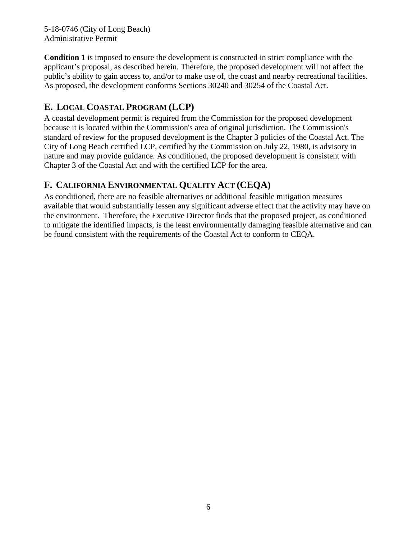5-18-0746 (City of Long Beach) Administrative Permit

**Condition 1** is imposed to ensure the development is constructed in strict compliance with the applicant's proposal, as described herein. Therefore, the proposed development will not affect the public's ability to gain access to, and/or to make use of, the coast and nearby recreational facilities. As proposed, the development conforms Sections 30240 and 30254 of the Coastal Act.

# **E. LOCAL COASTAL PROGRAM (LCP)**

A coastal development permit is required from the Commission for the proposed development because it is located within the Commission's area of original jurisdiction. The Commission's standard of review for the proposed development is the Chapter 3 policies of the Coastal Act. The City of Long Beach certified LCP, certified by the Commission on July 22, 1980, is advisory in nature and may provide guidance. As conditioned, the proposed development is consistent with Chapter 3 of the Coastal Act and with the certified LCP for the area.

# **F. CALIFORNIA ENVIRONMENTAL QUALITY ACT (CEQA)**

As conditioned, there are no feasible alternatives or additional feasible mitigation measures available that would substantially lessen any significant adverse effect that the activity may have on the environment. Therefore, the Executive Director finds that the proposed project, as conditioned to mitigate the identified impacts, is the least environmentally damaging feasible alternative and can be found consistent with the requirements of the Coastal Act to conform to CEQA.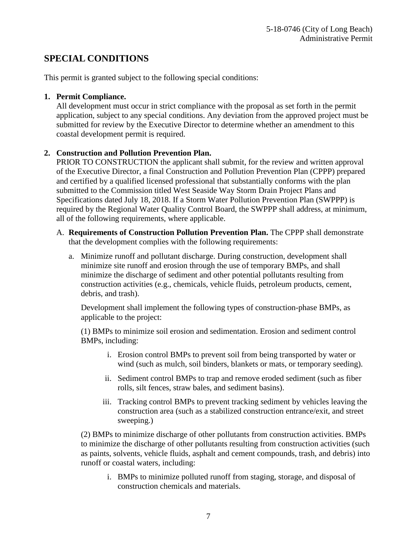# **SPECIAL CONDITIONS**

This permit is granted subject to the following special conditions:

#### **1. Permit Compliance.**

All development must occur in strict compliance with the proposal as set forth in the permit application, subject to any special conditions. Any deviation from the approved project must be submitted for review by the Executive Director to determine whether an amendment to this coastal development permit is required.

### **2. Construction and Pollution Prevention Plan.**

PRIOR TO CONSTRUCTION the applicant shall submit, for the review and written approval of the Executive Director, a final Construction and Pollution Prevention Plan (CPPP) prepared and certified by a qualified licensed professional that substantially conforms with the plan submitted to the Commission titled West Seaside Way Storm Drain Project Plans and Specifications dated July 18, 2018. If a Storm Water Pollution Prevention Plan (SWPPP) is required by the Regional Water Quality Control Board, the SWPPP shall address, at minimum, all of the following requirements, where applicable.

- A. **Requirements of Construction Pollution Prevention Plan.** The CPPP shall demonstrate that the development complies with the following requirements:
	- a. Minimize runoff and pollutant discharge. During construction, development shall minimize site runoff and erosion through the use of temporary BMPs, and shall minimize the discharge of sediment and other potential pollutants resulting from construction activities (e.g., chemicals, vehicle fluids, petroleum products, cement, debris, and trash).

Development shall implement the following types of construction-phase BMPs, as applicable to the project:

(1) BMPs to minimize soil erosion and sedimentation. Erosion and sediment control BMPs, including:

- i. Erosion control BMPs to prevent soil from being transported by water or wind (such as mulch, soil binders, blankets or mats, or temporary seeding).
- ii. Sediment control BMPs to trap and remove eroded sediment (such as fiber rolls, silt fences, straw bales, and sediment basins).
- iii. Tracking control BMPs to prevent tracking sediment by vehicles leaving the construction area (such as a stabilized construction entrance/exit, and street sweeping.)

(2) BMPs to minimize discharge of other pollutants from construction activities. BMPs to minimize the discharge of other pollutants resulting from construction activities (such as paints, solvents, vehicle fluids, asphalt and cement compounds, trash, and debris) into runoff or coastal waters, including:

i. BMPs to minimize polluted runoff from staging, storage, and disposal of construction chemicals and materials.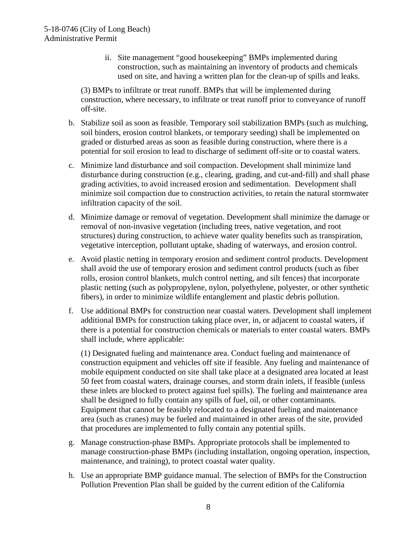ii. Site management "good housekeeping" BMPs implemented during construction, such as maintaining an inventory of products and chemicals used on site, and having a written plan for the clean-up of spills and leaks.

(3) BMPs to infiltrate or treat runoff. BMPs that will be implemented during construction, where necessary, to infiltrate or treat runoff prior to conveyance of runoff off-site.

- b. Stabilize soil as soon as feasible. Temporary soil stabilization BMPs (such as mulching, soil binders, erosion control blankets, or temporary seeding) shall be implemented on graded or disturbed areas as soon as feasible during construction, where there is a potential for soil erosion to lead to discharge of sediment off-site or to coastal waters.
- c. Minimize land disturbance and soil compaction. Development shall minimize land disturbance during construction (e.g., clearing, grading, and cut-and-fill) and shall phase grading activities, to avoid increased erosion and sedimentation. Development shall minimize soil compaction due to construction activities, to retain the natural stormwater infiltration capacity of the soil.
- d. Minimize damage or removal of vegetation. Development shall minimize the damage or removal of non-invasive vegetation (including trees, native vegetation, and root structures) during construction, to achieve water quality benefits such as transpiration, vegetative interception, pollutant uptake, shading of waterways, and erosion control.
- e. Avoid plastic netting in temporary erosion and sediment control products. Development shall avoid the use of temporary erosion and sediment control products (such as fiber rolls, erosion control blankets, mulch control netting, and silt fences) that incorporate plastic netting (such as polypropylene, nylon, polyethylene, polyester, or other synthetic fibers), in order to minimize wildlife entanglement and plastic debris pollution.
- f. Use additional BMPs for construction near coastal waters. Development shall implement additional BMPs for construction taking place over, in, or adjacent to coastal waters, if there is a potential for construction chemicals or materials to enter coastal waters. BMPs shall include, where applicable:

(1) Designated fueling and maintenance area. Conduct fueling and maintenance of construction equipment and vehicles off site if feasible. Any fueling and maintenance of mobile equipment conducted on site shall take place at a designated area located at least 50 feet from coastal waters, drainage courses, and storm drain inlets, if feasible (unless these inlets are blocked to protect against fuel spills). The fueling and maintenance area shall be designed to fully contain any spills of fuel, oil, or other contaminants. Equipment that cannot be feasibly relocated to a designated fueling and maintenance area (such as cranes) may be fueled and maintained in other areas of the site, provided that procedures are implemented to fully contain any potential spills.

- g. Manage construction-phase BMPs. Appropriate protocols shall be implemented to manage construction-phase BMPs (including installation, ongoing operation, inspection, maintenance, and training), to protect coastal water quality.
- h. Use an appropriate BMP guidance manual. The selection of BMPs for the Construction Pollution Prevention Plan shall be guided by the current edition of the California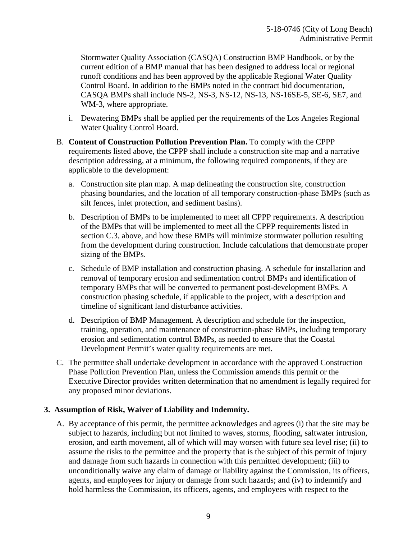Stormwater Quality Association (CASQA) Construction BMP Handbook, or by the current edition of a BMP manual that has been designed to address local or regional runoff conditions and has been approved by the applicable Regional Water Quality Control Board. In addition to the BMPs noted in the contract bid documentation, CASQA BMPs shall include NS-2, NS-3, NS-12, NS-13, NS-16SE-5, SE-6, SE7, and WM-3, where appropriate.

- i. Dewatering BMPs shall be applied per the requirements of the Los Angeles Regional Water Quality Control Board.
- B. **Content of Construction Pollution Prevention Plan.** To comply with the CPPP requirements listed above, the CPPP shall include a construction site map and a narrative description addressing, at a minimum, the following required components, if they are applicable to the development:
	- a. Construction site plan map. A map delineating the construction site, construction phasing boundaries, and the location of all temporary construction-phase BMPs (such as silt fences, inlet protection, and sediment basins).
	- b. Description of BMPs to be implemented to meet all CPPP requirements. A description of the BMPs that will be implemented to meet all the CPPP requirements listed in section C.3, above, and how these BMPs will minimize stormwater pollution resulting from the development during construction. Include calculations that demonstrate proper sizing of the BMPs.
	- c. Schedule of BMP installation and construction phasing. A schedule for installation and removal of temporary erosion and sedimentation control BMPs and identification of temporary BMPs that will be converted to permanent post-development BMPs. A construction phasing schedule, if applicable to the project, with a description and timeline of significant land disturbance activities.
	- d. Description of BMP Management. A description and schedule for the inspection, training, operation, and maintenance of construction-phase BMPs, including temporary erosion and sedimentation control BMPs, as needed to ensure that the Coastal Development Permit's water quality requirements are met.
- C. The permittee shall undertake development in accordance with the approved Construction Phase Pollution Prevention Plan, unless the Commission amends this permit or the Executive Director provides written determination that no amendment is legally required for any proposed minor deviations.

#### **3. Assumption of Risk, Waiver of Liability and Indemnity.**

A. By acceptance of this permit, the permittee acknowledges and agrees (i) that the site may be subject to hazards, including but not limited to waves, storms, flooding, saltwater intrusion, erosion, and earth movement, all of which will may worsen with future sea level rise; (ii) to assume the risks to the permittee and the property that is the subject of this permit of injury and damage from such hazards in connection with this permitted development; (iii) to unconditionally waive any claim of damage or liability against the Commission, its officers, agents, and employees for injury or damage from such hazards; and (iv) to indemnify and hold harmless the Commission, its officers, agents, and employees with respect to the